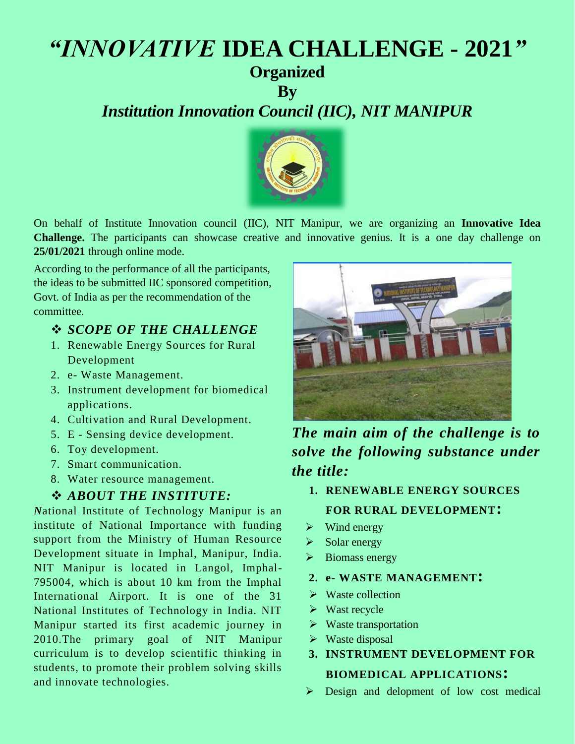# *"INNOVATIVE* **IDEA CHALLENGE - 2021***"*

**Organized By**

*Institution Innovation Council (IIC), NIT MANIPUR*



On behalf of Institute Innovation council (IIC), NIT Manipur, we are organizing an **Innovative Idea Challenge.** The participants can showcase creative and innovative genius. It is a one day challenge on **25/01/2021** through online mode.

According to the performance of all the participants, the ideas to be submitted IIC sponsored competition, Govt. of India as per the recommendation of the committee.

## *SCOPE OF THE CHALLENGE*

- 1. Renewable Energy Sources for Rural Development
- 2. e- Waste Management.
- 3. Instrument development for biomedical applications.
- 4. Cultivation and Rural Development.
- 5. E Sensing device development.
- 6. Toy development.
- 7. Smart communication.
- 8. Water resource management.

# *ABOUT THE INSTITUTE:*

*N*ational Institute of Technology Manipur is an institute of National Importance with funding support from the Ministry of Human Resource Development situate in Imphal, Manipur, India. NIT Manipur is located in Langol, Imphal-795004, which is about 10 km from the Imphal International Airport. It is one of the 31 National Institutes of Technology in India. NIT Manipur started its first academic journey in 2010.The primary goal of NIT Manipur curriculum is to develop scientific thinking in students, to promote their problem solving skills and innovate technologies.



*The main aim of the challenge is to solve the following substance under the title:*

**1. RENEWABLE ENERGY SOURCES** 

## **FOR RURAL DEVELOPMENT:**

- $\triangleright$  Wind energy
- $\triangleright$  Solar energy
- $\triangleright$  Biomass energy

## **2. e- WASTE MANAGEMENT:**

- $\triangleright$  Waste collection
- $\triangleright$  Wast recycle
- $\triangleright$  Waste transportation
- $\triangleright$  Waste disposal
- **3. INSTRUMENT DEVELOPMENT FOR BIOMEDICAL APPLICATIONS:**
- Design and delopment of low cost medical